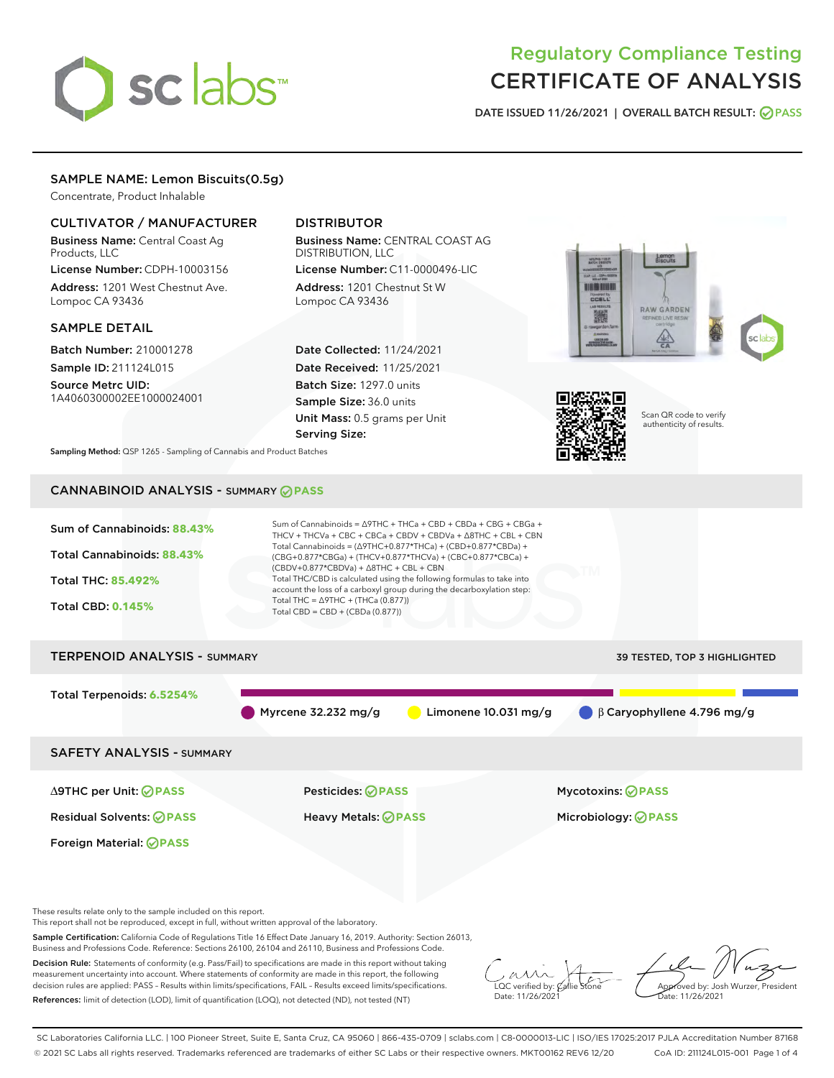# sclabs<sup>\*</sup>

# Regulatory Compliance Testing CERTIFICATE OF ANALYSIS

DATE ISSUED 11/26/2021 | OVERALL BATCH RESULT: @ PASS

# SAMPLE NAME: Lemon Biscuits(0.5g)

Concentrate, Product Inhalable

### CULTIVATOR / MANUFACTURER

Business Name: Central Coast Ag Products, LLC

License Number: CDPH-10003156 Address: 1201 West Chestnut Ave. Lompoc CA 93436

#### SAMPLE DETAIL

Batch Number: 210001278 Sample ID: 211124L015

Source Metrc UID: 1A4060300002EE1000024001

# DISTRIBUTOR

Business Name: CENTRAL COAST AG DISTRIBUTION, LLC License Number: C11-0000496-LIC

Address: 1201 Chestnut St W Lompoc CA 93436

Date Collected: 11/24/2021 Date Received: 11/25/2021 Batch Size: 1297.0 units Sample Size: 36.0 units Unit Mass: 0.5 grams per Unit Serving Size:





Scan QR code to verify authenticity of results.

Sampling Method: QSP 1265 - Sampling of Cannabis and Product Batches

# CANNABINOID ANALYSIS - SUMMARY **PASS**



Sample Certification: California Code of Regulations Title 16 Effect Date January 16, 2019. Authority: Section 26013, Business and Professions Code. Reference: Sections 26100, 26104 and 26110, Business and Professions Code.

Decision Rule: Statements of conformity (e.g. Pass/Fail) to specifications are made in this report without taking measurement uncertainty into account. Where statements of conformity are made in this report, the following decision rules are applied: PASS – Results within limits/specifications, FAIL – Results exceed limits/specifications. References: limit of detection (LOD), limit of quantification (LOQ), not detected (ND), not tested (NT)

 $\overline{\text{C}}$  verified by:  $\mathcal C$ Date: 11/26/202<sup>1</sup>

Approved by: Josh Wurzer, President ate: 11/26/2021

SC Laboratories California LLC. | 100 Pioneer Street, Suite E, Santa Cruz, CA 95060 | 866-435-0709 | sclabs.com | C8-0000013-LIC | ISO/IES 17025:2017 PJLA Accreditation Number 87168 © 2021 SC Labs all rights reserved. Trademarks referenced are trademarks of either SC Labs or their respective owners. MKT00162 REV6 12/20 CoA ID: 211124L015-001 Page 1 of 4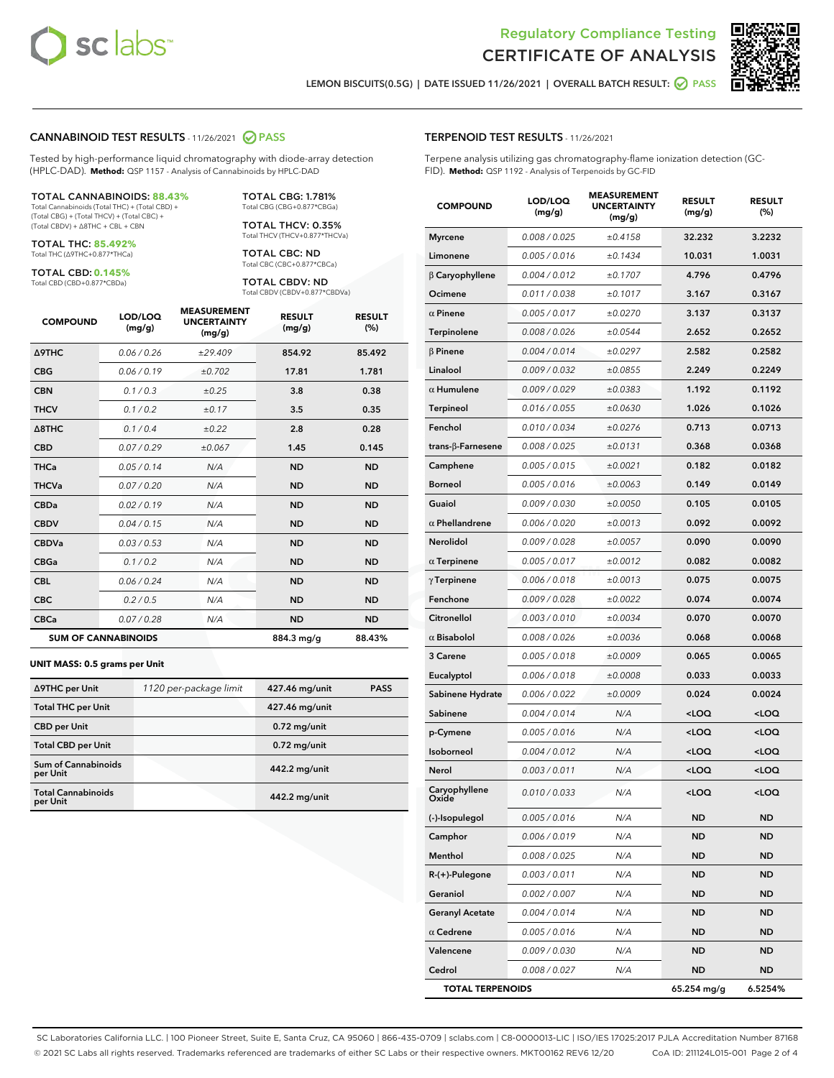



LEMON BISCUITS(0.5G) | DATE ISSUED 11/26/2021 | OVERALL BATCH RESULT: **● PASS** 

#### CANNABINOID TEST RESULTS - 11/26/2021 2 PASS

Tested by high-performance liquid chromatography with diode-array detection (HPLC-DAD). **Method:** QSP 1157 - Analysis of Cannabinoids by HPLC-DAD

#### TOTAL CANNABINOIDS: **88.43%**

Total Cannabinoids (Total THC) + (Total CBD) + (Total CBG) + (Total THCV) + (Total CBC) + (Total CBDV) + ∆8THC + CBL + CBN

TOTAL THC: **85.492%** Total THC (∆9THC+0.877\*THCa)

TOTAL CBD: **0.145%**

Total CBD (CBD+0.877\*CBDa)

TOTAL CBG: 1.781% Total CBG (CBG+0.877\*CBGa)

TOTAL THCV: 0.35% Total THCV (THCV+0.877\*THCVa)

TOTAL CBC: ND Total CBC (CBC+0.877\*CBCa)

TOTAL CBDV: ND Total CBDV (CBDV+0.877\*CBDVa)

| <b>COMPOUND</b>  | LOD/LOQ<br>(mg/g)          | <b>MEASUREMENT</b><br><b>UNCERTAINTY</b><br>(mg/g) | <b>RESULT</b><br>(mg/g) | <b>RESULT</b><br>(%) |
|------------------|----------------------------|----------------------------------------------------|-------------------------|----------------------|
| <b>A9THC</b>     | 0.06 / 0.26                | ±29.409                                            | 854.92                  | 85.492               |
| <b>CBG</b>       | 0.06/0.19                  | ±0.702                                             | 17.81                   | 1.781                |
| <b>CBN</b>       | 0.1/0.3                    | ±0.25                                              | 3.8                     | 0.38                 |
| <b>THCV</b>      | 0.1/0.2                    | ±0.17                                              | 3.5                     | 0.35                 |
| $\triangle$ 8THC | 0.1/0.4                    | ±0.22                                              | 2.8                     | 0.28                 |
| <b>CBD</b>       | 0.07/0.29                  | ±0.067                                             | 1.45                    | 0.145                |
| <b>THCa</b>      | 0.05/0.14                  | N/A                                                | <b>ND</b>               | <b>ND</b>            |
| <b>THCVa</b>     | 0.07 / 0.20                | N/A                                                | <b>ND</b>               | <b>ND</b>            |
| <b>CBDa</b>      | 0.02/0.19                  | N/A                                                | <b>ND</b>               | <b>ND</b>            |
| <b>CBDV</b>      | 0.04 / 0.15                | N/A                                                | <b>ND</b>               | <b>ND</b>            |
| <b>CBDVa</b>     | 0.03/0.53                  | N/A                                                | <b>ND</b>               | <b>ND</b>            |
| <b>CBGa</b>      | 0.1 / 0.2                  | N/A                                                | <b>ND</b>               | <b>ND</b>            |
| <b>CBL</b>       | 0.06 / 0.24                | N/A                                                | <b>ND</b>               | <b>ND</b>            |
| <b>CBC</b>       | 0.2 / 0.5                  | N/A                                                | <b>ND</b>               | <b>ND</b>            |
| <b>CBCa</b>      | 0.07 / 0.28                | N/A                                                | <b>ND</b>               | <b>ND</b>            |
|                  | <b>SUM OF CANNABINOIDS</b> |                                                    | 884.3 mg/g              | 88.43%               |

#### **UNIT MASS: 0.5 grams per Unit**

| ∆9THC per Unit                         | 1120 per-package limit | 427.46 mg/unit | <b>PASS</b> |
|----------------------------------------|------------------------|----------------|-------------|
| <b>Total THC per Unit</b>              |                        | 427.46 mg/unit |             |
| <b>CBD</b> per Unit                    |                        | $0.72$ mg/unit |             |
| <b>Total CBD per Unit</b>              |                        | $0.72$ mg/unit |             |
| <b>Sum of Cannabinoids</b><br>per Unit |                        | 442.2 mg/unit  |             |
| <b>Total Cannabinoids</b><br>per Unit  |                        | 442.2 mg/unit  |             |

| <b>COMPOUND</b>         | LOD/LOQ<br>(mg/g) | <b>MEASUREMENT</b><br><b>UNCERTAINTY</b><br>(mg/g) | <b>RESULT</b><br>(mg/g)                         | <b>RESULT</b><br>(%) |
|-------------------------|-------------------|----------------------------------------------------|-------------------------------------------------|----------------------|
| <b>Myrcene</b>          | 0.008 / 0.025     | ±0.4158                                            | 32.232                                          | 3.2232               |
| Limonene                | 0.005 / 0.016     | ±0.1434                                            | 10.031                                          | 1.0031               |
| $\beta$ Caryophyllene   | 0.004 / 0.012     | ±0.1707                                            | 4.796                                           | 0.4796               |
| Ocimene                 | 0.011 / 0.038     | ±0.1017                                            | 3.167                                           | 0.3167               |
| $\alpha$ Pinene         | 0.005 / 0.017     | ±0.0270                                            | 3.137                                           | 0.3137               |
| Terpinolene             | 0.008 / 0.026     | ±0.0544                                            | 2.652                                           | 0.2652               |
| $\beta$ Pinene          | 0.004 / 0.014     | ±0.0297                                            | 2.582                                           | 0.2582               |
| Linalool                | 0.009 / 0.032     | ±0.0855                                            | 2.249                                           | 0.2249               |
| $\alpha$ Humulene       | 0.009/0.029       | ±0.0383                                            | 1.192                                           | 0.1192               |
| Terpineol               | 0.016 / 0.055     | ±0.0630                                            | 1.026                                           | 0.1026               |
| Fenchol                 | 0.010 / 0.034     | ±0.0276                                            | 0.713                                           | 0.0713               |
| trans-β-Farnesene       | 0.008 / 0.025     | ±0.0131                                            | 0.368                                           | 0.0368               |
| Camphene                | 0.005 / 0.015     | ±0.0021                                            | 0.182                                           | 0.0182               |
| <b>Borneol</b>          | 0.005 / 0.016     | ±0.0063                                            | 0.149                                           | 0.0149               |
| Guaiol                  | 0.009 / 0.030     | ±0.0050                                            | 0.105                                           | 0.0105               |
| $\alpha$ Phellandrene   | 0.006 / 0.020     | ±0.0013                                            | 0.092                                           | 0.0092               |
| <b>Nerolidol</b>        | 0.009 / 0.028     | ±0.0057                                            | 0.090                                           | 0.0090               |
| $\alpha$ Terpinene      | 0.005 / 0.017     | ±0.0012                                            | 0.082                                           | 0.0082               |
| $\gamma$ Terpinene      | 0.006 / 0.018     | ±0.0013                                            | 0.075                                           | 0.0075               |
| Fenchone                | 0.009 / 0.028     | ±0.0022                                            | 0.074                                           | 0.0074               |
| Citronellol             | 0.003 / 0.010     | ±0.0034                                            | 0.070                                           | 0.0070               |
| $\alpha$ Bisabolol      | 0.008 / 0.026     | ±0.0036                                            | 0.068                                           | 0.0068               |
| 3 Carene                | 0.005 / 0.018     | ±0.0009                                            | 0.065                                           | 0.0065               |
| Eucalyptol              | 0.006 / 0.018     | ±0.0008                                            | 0.033                                           | 0.0033               |
| Sabinene Hydrate        | 0.006 / 0.022     | ±0.0009                                            | 0.024                                           | 0.0024               |
| Sabinene                | 0.004 / 0.014     | N/A                                                | <loq< th=""><th><loq< th=""></loq<></th></loq<> | <loq< th=""></loq<>  |
| p-Cymene                | 0.005 / 0.016     | N/A                                                | <loq< th=""><th><loq< th=""></loq<></th></loq<> | <loq< th=""></loq<>  |
| Isoborneol              | 0.004 / 0.012     | N/A                                                | <loq< th=""><th><loq< th=""></loq<></th></loq<> | <loq< th=""></loq<>  |
| Nerol                   | 0.003 / 0.011     | N/A                                                | <loq< th=""><th><loq< th=""></loq<></th></loq<> | <loq< th=""></loq<>  |
| Caryophyllene           | 0.010 / 0.033     | N/A                                                | <loq< th=""><th><loq< th=""></loq<></th></loq<> | <loq< th=""></loq<>  |
| (-)-Isopulegol          | 0.005 / 0.016     | N/A                                                | ND                                              | ND                   |
| Camphor                 | 0.006 / 0.019     | N/A                                                | <b>ND</b>                                       | ND                   |
| Menthol                 | 0.008 / 0.025     | N/A                                                | ND                                              | ND                   |
| R-(+)-Pulegone          | 0.003 / 0.011     | N/A                                                | ND                                              | ND                   |
| Geraniol                | 0.002 / 0.007     | N/A                                                | ND                                              | ND                   |
| <b>Geranyl Acetate</b>  | 0.004 / 0.014     | N/A                                                | ND                                              | ND                   |
| $\alpha$ Cedrene        | 0.005 / 0.016     | N/A                                                | ND                                              | ND                   |
| Valencene               | 0.009 / 0.030     | N/A                                                | ND                                              | ND                   |
| Cedrol                  | 0.008 / 0.027     | N/A                                                | <b>ND</b>                                       | ND                   |
| <b>TOTAL TERPENOIDS</b> |                   |                                                    | 65.254 mg/g                                     | 6.5254%              |

SC Laboratories California LLC. | 100 Pioneer Street, Suite E, Santa Cruz, CA 95060 | 866-435-0709 | sclabs.com | C8-0000013-LIC | ISO/IES 17025:2017 PJLA Accreditation Number 87168 © 2021 SC Labs all rights reserved. Trademarks referenced are trademarks of either SC Labs or their respective owners. MKT00162 REV6 12/20 CoA ID: 211124L015-001 Page 2 of 4

# TERPENOID TEST RESULTS - 11/26/2021

Terpene analysis utilizing gas chromatography-flame ionization detection (GC-FID). **Method:** QSP 1192 - Analysis of Terpenoids by GC-FID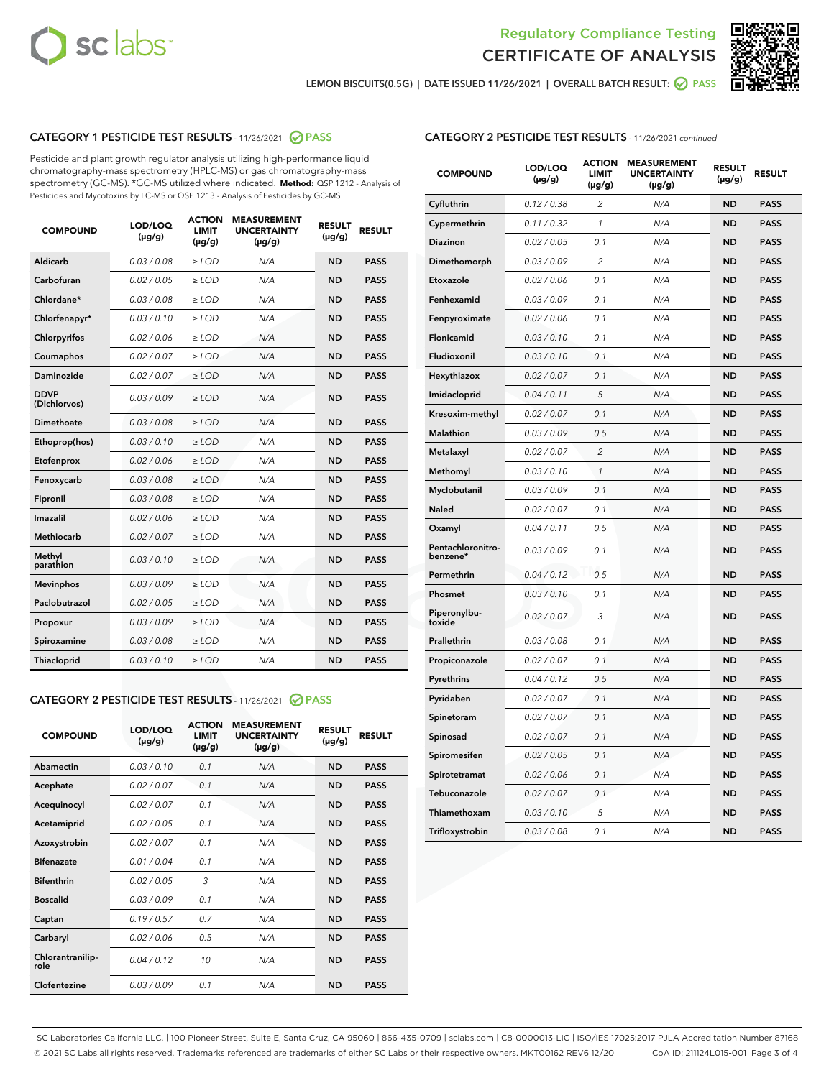



LEMON BISCUITS(0.5G) | DATE ISSUED 11/26/2021 | OVERALL BATCH RESULT: @ PASS

# CATEGORY 1 PESTICIDE TEST RESULTS - 11/26/2021 2 PASS

Pesticide and plant growth regulator analysis utilizing high-performance liquid chromatography-mass spectrometry (HPLC-MS) or gas chromatography-mass spectrometry (GC-MS). \*GC-MS utilized where indicated. **Method:** QSP 1212 - Analysis of Pesticides and Mycotoxins by LC-MS or QSP 1213 - Analysis of Pesticides by GC-MS

| 0.03/0.08<br>Aldicarb<br>$>$ LOD<br>N/A<br><b>ND</b><br><b>PASS</b><br>Carbofuran<br>0.02 / 0.05<br>$\ge$ LOD<br>N/A<br><b>ND</b><br><b>PASS</b><br>Chlordane*<br>0.03/0.08<br>$>$ LOD<br>N/A<br><b>ND</b><br><b>PASS</b><br>Chlorfenapyr*<br>0.03/0.10<br><b>PASS</b><br>$\ge$ LOD<br>N/A<br><b>ND</b><br>Chlorpyrifos<br>0.02 / 0.06<br>N/A<br><b>ND</b><br><b>PASS</b><br>$\ge$ LOD<br>0.02 / 0.07<br>N/A<br><b>ND</b><br><b>PASS</b><br>Coumaphos<br>$\ge$ LOD<br>Daminozide<br>0.02 / 0.07<br>$\ge$ LOD<br>N/A<br><b>ND</b><br><b>PASS</b><br><b>DDVP</b><br>0.03/0.09<br>$\ge$ LOD<br>N/A<br><b>ND</b><br><b>PASS</b><br>(Dichlorvos)<br><b>Dimethoate</b><br>0.03 / 0.08<br>N/A<br><b>ND</b><br><b>PASS</b><br>$\ge$ LOD<br>0.03/0.10<br>N/A<br><b>ND</b><br><b>PASS</b><br>Ethoprop(hos)<br>$\ge$ LOD<br>0.02 / 0.06<br>N/A<br><b>ND</b><br><b>PASS</b><br>Etofenprox<br>$\ge$ LOD<br>0.03 / 0.08<br>N/A<br><b>ND</b><br><b>PASS</b><br>Fenoxycarb<br>$\ge$ LOD<br>0.03/0.08<br>$>$ LOD<br>N/A<br><b>ND</b><br>Fipronil<br><b>PASS</b><br>0.02 / 0.06<br>Imazalil<br>$\ge$ LOD<br>N/A<br><b>ND</b><br><b>PASS</b><br><b>Methiocarb</b><br>0.02 / 0.07<br>$\ge$ LOD<br>N/A<br><b>ND</b><br><b>PASS</b><br>Methyl<br>0.03/0.10<br>N/A<br><b>ND</b><br><b>PASS</b><br>$\ge$ LOD<br>parathion<br>0.03/0.09<br>$\ge$ LOD<br><b>ND</b><br><b>PASS</b><br><b>Mevinphos</b><br>N/A<br>Paclobutrazol<br>0.02 / 0.05<br>$>$ LOD<br>N/A<br><b>ND</b><br><b>PASS</b><br>0.03/0.09<br>N/A<br>$\ge$ LOD<br><b>ND</b><br><b>PASS</b><br>Propoxur<br>0.03 / 0.08<br><b>ND</b><br><b>PASS</b><br>Spiroxamine<br>$\ge$ LOD<br>N/A<br>Thiacloprid<br>0.03/0.10<br>$\ge$ LOD<br>N/A<br><b>ND</b><br><b>PASS</b> | <b>COMPOUND</b> | LOD/LOQ<br>$(\mu g/g)$ | <b>ACTION</b><br><b>LIMIT</b><br>$(\mu g/g)$ | <b>MEASUREMENT</b><br><b>UNCERTAINTY</b><br>$(\mu g/g)$ | <b>RESULT</b><br>$(\mu g/g)$ | <b>RESULT</b> |
|-----------------------------------------------------------------------------------------------------------------------------------------------------------------------------------------------------------------------------------------------------------------------------------------------------------------------------------------------------------------------------------------------------------------------------------------------------------------------------------------------------------------------------------------------------------------------------------------------------------------------------------------------------------------------------------------------------------------------------------------------------------------------------------------------------------------------------------------------------------------------------------------------------------------------------------------------------------------------------------------------------------------------------------------------------------------------------------------------------------------------------------------------------------------------------------------------------------------------------------------------------------------------------------------------------------------------------------------------------------------------------------------------------------------------------------------------------------------------------------------------------------------------------------------------------------------------------------------------------------------------------------------------------------------------------------------------------|-----------------|------------------------|----------------------------------------------|---------------------------------------------------------|------------------------------|---------------|
|                                                                                                                                                                                                                                                                                                                                                                                                                                                                                                                                                                                                                                                                                                                                                                                                                                                                                                                                                                                                                                                                                                                                                                                                                                                                                                                                                                                                                                                                                                                                                                                                                                                                                                     |                 |                        |                                              |                                                         |                              |               |
|                                                                                                                                                                                                                                                                                                                                                                                                                                                                                                                                                                                                                                                                                                                                                                                                                                                                                                                                                                                                                                                                                                                                                                                                                                                                                                                                                                                                                                                                                                                                                                                                                                                                                                     |                 |                        |                                              |                                                         |                              |               |
|                                                                                                                                                                                                                                                                                                                                                                                                                                                                                                                                                                                                                                                                                                                                                                                                                                                                                                                                                                                                                                                                                                                                                                                                                                                                                                                                                                                                                                                                                                                                                                                                                                                                                                     |                 |                        |                                              |                                                         |                              |               |
|                                                                                                                                                                                                                                                                                                                                                                                                                                                                                                                                                                                                                                                                                                                                                                                                                                                                                                                                                                                                                                                                                                                                                                                                                                                                                                                                                                                                                                                                                                                                                                                                                                                                                                     |                 |                        |                                              |                                                         |                              |               |
|                                                                                                                                                                                                                                                                                                                                                                                                                                                                                                                                                                                                                                                                                                                                                                                                                                                                                                                                                                                                                                                                                                                                                                                                                                                                                                                                                                                                                                                                                                                                                                                                                                                                                                     |                 |                        |                                              |                                                         |                              |               |
|                                                                                                                                                                                                                                                                                                                                                                                                                                                                                                                                                                                                                                                                                                                                                                                                                                                                                                                                                                                                                                                                                                                                                                                                                                                                                                                                                                                                                                                                                                                                                                                                                                                                                                     |                 |                        |                                              |                                                         |                              |               |
|                                                                                                                                                                                                                                                                                                                                                                                                                                                                                                                                                                                                                                                                                                                                                                                                                                                                                                                                                                                                                                                                                                                                                                                                                                                                                                                                                                                                                                                                                                                                                                                                                                                                                                     |                 |                        |                                              |                                                         |                              |               |
|                                                                                                                                                                                                                                                                                                                                                                                                                                                                                                                                                                                                                                                                                                                                                                                                                                                                                                                                                                                                                                                                                                                                                                                                                                                                                                                                                                                                                                                                                                                                                                                                                                                                                                     |                 |                        |                                              |                                                         |                              |               |
|                                                                                                                                                                                                                                                                                                                                                                                                                                                                                                                                                                                                                                                                                                                                                                                                                                                                                                                                                                                                                                                                                                                                                                                                                                                                                                                                                                                                                                                                                                                                                                                                                                                                                                     |                 |                        |                                              |                                                         |                              |               |
|                                                                                                                                                                                                                                                                                                                                                                                                                                                                                                                                                                                                                                                                                                                                                                                                                                                                                                                                                                                                                                                                                                                                                                                                                                                                                                                                                                                                                                                                                                                                                                                                                                                                                                     |                 |                        |                                              |                                                         |                              |               |
|                                                                                                                                                                                                                                                                                                                                                                                                                                                                                                                                                                                                                                                                                                                                                                                                                                                                                                                                                                                                                                                                                                                                                                                                                                                                                                                                                                                                                                                                                                                                                                                                                                                                                                     |                 |                        |                                              |                                                         |                              |               |
|                                                                                                                                                                                                                                                                                                                                                                                                                                                                                                                                                                                                                                                                                                                                                                                                                                                                                                                                                                                                                                                                                                                                                                                                                                                                                                                                                                                                                                                                                                                                                                                                                                                                                                     |                 |                        |                                              |                                                         |                              |               |
|                                                                                                                                                                                                                                                                                                                                                                                                                                                                                                                                                                                                                                                                                                                                                                                                                                                                                                                                                                                                                                                                                                                                                                                                                                                                                                                                                                                                                                                                                                                                                                                                                                                                                                     |                 |                        |                                              |                                                         |                              |               |
|                                                                                                                                                                                                                                                                                                                                                                                                                                                                                                                                                                                                                                                                                                                                                                                                                                                                                                                                                                                                                                                                                                                                                                                                                                                                                                                                                                                                                                                                                                                                                                                                                                                                                                     |                 |                        |                                              |                                                         |                              |               |
|                                                                                                                                                                                                                                                                                                                                                                                                                                                                                                                                                                                                                                                                                                                                                                                                                                                                                                                                                                                                                                                                                                                                                                                                                                                                                                                                                                                                                                                                                                                                                                                                                                                                                                     |                 |                        |                                              |                                                         |                              |               |
|                                                                                                                                                                                                                                                                                                                                                                                                                                                                                                                                                                                                                                                                                                                                                                                                                                                                                                                                                                                                                                                                                                                                                                                                                                                                                                                                                                                                                                                                                                                                                                                                                                                                                                     |                 |                        |                                              |                                                         |                              |               |
|                                                                                                                                                                                                                                                                                                                                                                                                                                                                                                                                                                                                                                                                                                                                                                                                                                                                                                                                                                                                                                                                                                                                                                                                                                                                                                                                                                                                                                                                                                                                                                                                                                                                                                     |                 |                        |                                              |                                                         |                              |               |
|                                                                                                                                                                                                                                                                                                                                                                                                                                                                                                                                                                                                                                                                                                                                                                                                                                                                                                                                                                                                                                                                                                                                                                                                                                                                                                                                                                                                                                                                                                                                                                                                                                                                                                     |                 |                        |                                              |                                                         |                              |               |
|                                                                                                                                                                                                                                                                                                                                                                                                                                                                                                                                                                                                                                                                                                                                                                                                                                                                                                                                                                                                                                                                                                                                                                                                                                                                                                                                                                                                                                                                                                                                                                                                                                                                                                     |                 |                        |                                              |                                                         |                              |               |
|                                                                                                                                                                                                                                                                                                                                                                                                                                                                                                                                                                                                                                                                                                                                                                                                                                                                                                                                                                                                                                                                                                                                                                                                                                                                                                                                                                                                                                                                                                                                                                                                                                                                                                     |                 |                        |                                              |                                                         |                              |               |
|                                                                                                                                                                                                                                                                                                                                                                                                                                                                                                                                                                                                                                                                                                                                                                                                                                                                                                                                                                                                                                                                                                                                                                                                                                                                                                                                                                                                                                                                                                                                                                                                                                                                                                     |                 |                        |                                              |                                                         |                              |               |

#### CATEGORY 2 PESTICIDE TEST RESULTS - 11/26/2021 @ PASS

| <b>COMPOUND</b>          | LOD/LOO<br>$(\mu g/g)$ | <b>ACTION</b><br>LIMIT<br>$(\mu g/g)$ | <b>MEASUREMENT</b><br><b>UNCERTAINTY</b><br>$(\mu g/g)$ | <b>RESULT</b><br>$(\mu g/g)$ | <b>RESULT</b> |  |
|--------------------------|------------------------|---------------------------------------|---------------------------------------------------------|------------------------------|---------------|--|
| Abamectin                | 0.03/0.10              | 0.1                                   | N/A                                                     | <b>ND</b>                    | <b>PASS</b>   |  |
| Acephate                 | 0.02/0.07              | 0.1                                   | N/A                                                     | <b>ND</b>                    | <b>PASS</b>   |  |
| Acequinocyl              | 0.02/0.07              | 0.1                                   | N/A                                                     | <b>ND</b>                    | <b>PASS</b>   |  |
| Acetamiprid              | 0.02 / 0.05            | 0.1                                   | N/A                                                     | <b>ND</b>                    | <b>PASS</b>   |  |
| Azoxystrobin             | 0.02/0.07              | 0.1                                   | N/A                                                     | <b>ND</b>                    | <b>PASS</b>   |  |
| <b>Bifenazate</b>        | 0.01 / 0.04            | 0.1                                   | N/A                                                     | <b>ND</b>                    | <b>PASS</b>   |  |
| <b>Bifenthrin</b>        | 0.02 / 0.05            | 3                                     | N/A                                                     | <b>ND</b>                    | <b>PASS</b>   |  |
| <b>Boscalid</b>          | 0.03/0.09              | 0.1                                   | N/A                                                     | <b>ND</b>                    | <b>PASS</b>   |  |
| Captan                   | 0.19/0.57              | 0.7                                   | N/A                                                     | <b>ND</b>                    | <b>PASS</b>   |  |
| Carbaryl                 | 0.02/0.06              | 0.5                                   | N/A                                                     | <b>ND</b>                    | <b>PASS</b>   |  |
| Chlorantranilip-<br>role | 0.04/0.12              | 10                                    | N/A                                                     | <b>ND</b>                    | <b>PASS</b>   |  |
| Clofentezine             | 0.03/0.09              | 0.1                                   | N/A                                                     | <b>ND</b>                    | <b>PASS</b>   |  |

### CATEGORY 2 PESTICIDE TEST RESULTS - 11/26/2021 continued

| <b>COMPOUND</b>               | LOD/LOQ<br>(µg/g) | <b>ACTION</b><br>LIMIT<br>$(\mu g/g)$ | <b>MEASUREMENT</b><br><b>UNCERTAINTY</b><br>(µg/g) | <b>RESULT</b><br>(µg/g) | <b>RESULT</b> |
|-------------------------------|-------------------|---------------------------------------|----------------------------------------------------|-------------------------|---------------|
| Cyfluthrin                    | 0.12 / 0.38       | 2                                     | N/A                                                | ND                      | <b>PASS</b>   |
| Cypermethrin                  | 0.11 / 0.32       | 1                                     | N/A                                                | ND                      | <b>PASS</b>   |
| Diazinon                      | 0.02 / 0.05       | 0.1                                   | N/A                                                | ND                      | <b>PASS</b>   |
| Dimethomorph                  | 0.03 / 0.09       | $\overline{2}$                        | N/A                                                | <b>ND</b>               | <b>PASS</b>   |
| Etoxazole                     | 0.02 / 0.06       | 0.1                                   | N/A                                                | ND                      | <b>PASS</b>   |
| Fenhexamid                    | 0.03 / 0.09       | 0.1                                   | N/A                                                | ND                      | <b>PASS</b>   |
| Fenpyroximate                 | 0.02 / 0.06       | 0.1                                   | N/A                                                | <b>ND</b>               | <b>PASS</b>   |
| Flonicamid                    | 0.03 / 0.10       | 0.1                                   | N/A                                                | <b>ND</b>               | <b>PASS</b>   |
| Fludioxonil                   | 0.03 / 0.10       | 0.1                                   | N/A                                                | <b>ND</b>               | <b>PASS</b>   |
| Hexythiazox                   | 0.02 / 0.07       | 0.1                                   | N/A                                                | <b>ND</b>               | PASS          |
| Imidacloprid                  | 0.04 / 0.11       | 5                                     | N/A                                                | <b>ND</b>               | <b>PASS</b>   |
| Kresoxim-methyl               | 0.02 / 0.07       | 0.1                                   | N/A                                                | ND                      | <b>PASS</b>   |
| Malathion                     | 0.03 / 0.09       | 0.5                                   | N/A                                                | <b>ND</b>               | <b>PASS</b>   |
| Metalaxyl                     | 0.02 / 0.07       | $\overline{c}$                        | N/A                                                | <b>ND</b>               | <b>PASS</b>   |
| Methomyl                      | 0.03 / 0.10       | 1                                     | N/A                                                | ND                      | <b>PASS</b>   |
| Myclobutanil                  | 0.03/0.09         | 0.1                                   | N/A                                                | <b>ND</b>               | <b>PASS</b>   |
| Naled                         | 0.02 / 0.07       | 0.1                                   | N/A                                                | ND                      | <b>PASS</b>   |
| Oxamyl                        | 0.04 / 0.11       | 0.5                                   | N/A                                                | ND                      | <b>PASS</b>   |
| Pentachloronitro-<br>benzene* | 0.03 / 0.09       | 0.1                                   | N/A                                                | ND                      | <b>PASS</b>   |
| Permethrin                    | 0.04/0.12         | 0.5                                   | N/A                                                | <b>ND</b>               | <b>PASS</b>   |
| Phosmet                       | 0.03 / 0.10       | 0.1                                   | N/A                                                | ND                      | PASS          |
| Piperonylbu-<br>toxide        | 0.02 / 0.07       | 3                                     | N/A                                                | <b>ND</b>               | <b>PASS</b>   |
| Prallethrin                   | 0.03 / 0.08       | 0.1                                   | N/A                                                | <b>ND</b>               | <b>PASS</b>   |
| Propiconazole                 | 0.02 / 0.07       | 0.1                                   | N/A                                                | ND                      | <b>PASS</b>   |
| Pyrethrins                    | 0.04 / 0.12       | 0.5                                   | N/A                                                | ND                      | PASS          |
| Pyridaben                     | 0.02 / 0.07       | 0.1                                   | N/A                                                | <b>ND</b>               | <b>PASS</b>   |
| Spinetoram                    | 0.02 / 0.07       | 0.1                                   | N/A                                                | ND                      | <b>PASS</b>   |
| Spinosad                      | 0.02 / 0.07       | 0.1                                   | N/A                                                | ND                      | PASS          |
| Spiromesifen                  | 0.02 / 0.05       | 0.1                                   | N/A                                                | <b>ND</b>               | <b>PASS</b>   |
| Spirotetramat                 | 0.02 / 0.06       | 0.1                                   | N/A                                                | ND                      | <b>PASS</b>   |
| Tebuconazole                  | 0.02 / 0.07       | 0.1                                   | N/A                                                | ND                      | <b>PASS</b>   |
| Thiamethoxam                  | 0.03 / 0.10       | 5                                     | N/A                                                | <b>ND</b>               | <b>PASS</b>   |
| Trifloxystrobin               | 0.03 / 0.08       | 0.1                                   | N/A                                                | <b>ND</b>               | <b>PASS</b>   |

SC Laboratories California LLC. | 100 Pioneer Street, Suite E, Santa Cruz, CA 95060 | 866-435-0709 | sclabs.com | C8-0000013-LIC | ISO/IES 17025:2017 PJLA Accreditation Number 87168 © 2021 SC Labs all rights reserved. Trademarks referenced are trademarks of either SC Labs or their respective owners. MKT00162 REV6 12/20 CoA ID: 211124L015-001 Page 3 of 4